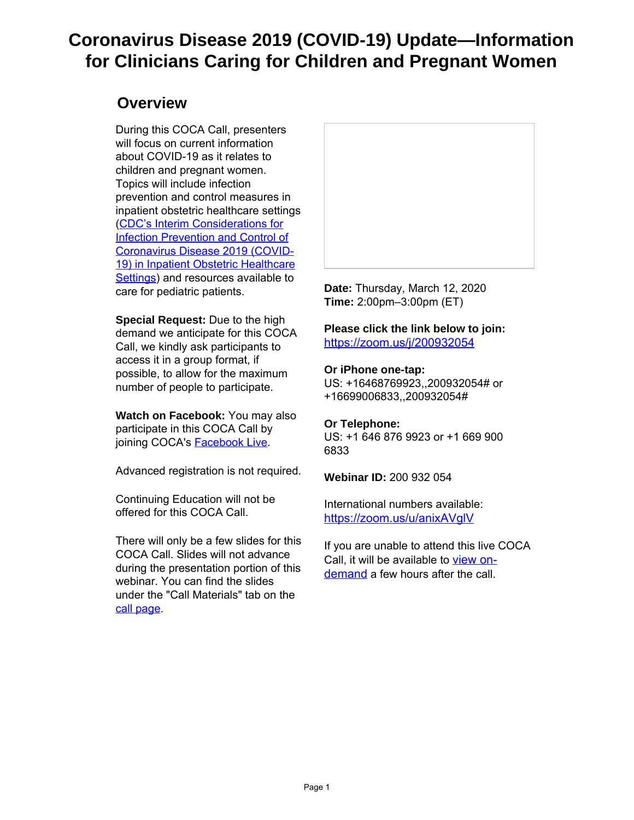# **Coronavirus Disease 2019 (COVID-19) Update—Information for Clinicians Caring for Children and Pregnant Women**

### **Overview**

During this COCA Call, presenters will focus on current information about COVID-19 as it relates to children and pregnant women. Topics will include infection prevention and control measures in inpatient obstetric healthcare settings [\(CDC's Interim Considerations for](https://gcc01.safelinks.protection.outlook.com/?url=https%3A%2F%2Ft.emailupdates.cdc.gov%2Fr%2F%3Fid%3Dhaef406f%2C4ecdce3%2C4edffce&data=02%7C01%7Crhendry%40co.slo.ca.us%7Caa7b4f70267847a624e208d7c519cc7b%7C84c3c7747fdf40e2a59027b2e70f8126%7C0%7C0%7C637194588214975922&sdata=kL0Gz4UH75MW0T4E%2Fc62eVQhvNolqPMMwpO5zAqMM8M%3D&reserved=0) [Infection Prevention and Control of](https://gcc01.safelinks.protection.outlook.com/?url=https%3A%2F%2Ft.emailupdates.cdc.gov%2Fr%2F%3Fid%3Dhaef406f%2C4ecdce3%2C4edffce&data=02%7C01%7Crhendry%40co.slo.ca.us%7Caa7b4f70267847a624e208d7c519cc7b%7C84c3c7747fdf40e2a59027b2e70f8126%7C0%7C0%7C637194588214975922&sdata=kL0Gz4UH75MW0T4E%2Fc62eVQhvNolqPMMwpO5zAqMM8M%3D&reserved=0) [Coronavirus Disease 2019 \(COVID-](https://gcc01.safelinks.protection.outlook.com/?url=https%3A%2F%2Ft.emailupdates.cdc.gov%2Fr%2F%3Fid%3Dhaef406f%2C4ecdce3%2C4edffce&data=02%7C01%7Crhendry%40co.slo.ca.us%7Caa7b4f70267847a624e208d7c519cc7b%7C84c3c7747fdf40e2a59027b2e70f8126%7C0%7C0%7C637194588214975922&sdata=kL0Gz4UH75MW0T4E%2Fc62eVQhvNolqPMMwpO5zAqMM8M%3D&reserved=0)[19\) in Inpatient Obstetric Healthcare](https://gcc01.safelinks.protection.outlook.com/?url=https%3A%2F%2Ft.emailupdates.cdc.gov%2Fr%2F%3Fid%3Dhaef406f%2C4ecdce3%2C4edffce&data=02%7C01%7Crhendry%40co.slo.ca.us%7Caa7b4f70267847a624e208d7c519cc7b%7C84c3c7747fdf40e2a59027b2e70f8126%7C0%7C0%7C637194588214975922&sdata=kL0Gz4UH75MW0T4E%2Fc62eVQhvNolqPMMwpO5zAqMM8M%3D&reserved=0) [Settings\)](https://gcc01.safelinks.protection.outlook.com/?url=https%3A%2F%2Ft.emailupdates.cdc.gov%2Fr%2F%3Fid%3Dhaef406f%2C4ecdce3%2C4edffce&data=02%7C01%7Crhendry%40co.slo.ca.us%7Caa7b4f70267847a624e208d7c519cc7b%7C84c3c7747fdf40e2a59027b2e70f8126%7C0%7C0%7C637194588214975922&sdata=kL0Gz4UH75MW0T4E%2Fc62eVQhvNolqPMMwpO5zAqMM8M%3D&reserved=0) and resources available to care for pediatric patients.

**Special Request:** Due to the high demand we anticipate for this COCA Call, we kindly ask participants to access it in a group format, if possible, to allow for the maximum number of people to participate.

**Watch on Facebook:** You may also participate in this COCA Call by joining COCA's **[Facebook Live](https://gcc01.safelinks.protection.outlook.com/?url=https%3A%2F%2Ft.emailupdates.cdc.gov%2Fr%2F%3Fid%3Dhaef406f%2C4ecdce3%2C4edffcf&data=02%7C01%7Crhendry%40co.slo.ca.us%7Caa7b4f70267847a624e208d7c519cc7b%7C84c3c7747fdf40e2a59027b2e70f8126%7C0%7C0%7C637194588214985879&sdata=gQKGSz789uZDxAosWG0%2BKK3jyEmSxXMGRJ9aHngQ4DM%3D&reserved=0)**.

Advanced registration is not required.

Continuing Education will not be offered for this COCA Call.

There will only be a few slides for this COCA Call. Slides will not advance during the presentation portion of this webinar. You can find the slides under the "Call Materials" tab on the [call page](https://gcc01.safelinks.protection.outlook.com/?url=https%3A%2F%2Ft.emailupdates.cdc.gov%2Fr%2F%3Fid%3Dhaef406f%2C4ecdce3%2C4edffd0&data=02%7C01%7Crhendry%40co.slo.ca.us%7Caa7b4f70267847a624e208d7c519cc7b%7C84c3c7747fdf40e2a59027b2e70f8126%7C0%7C0%7C637194588214985879&sdata=oWdYlEaI%2FfwPfKJUoNyw1hRrXmgagxRP%2FR8hVVNj2B8%3D&reserved=0).



**Date:** Thursday, March 12, 2020 **Time:** 2:00pm–3:00pm (ET)

**Please click the link below to join:**  [https://zoom.us/j/200932054](https://gcc01.safelinks.protection.outlook.com/?url=https%3A%2F%2Ft.emailupdates.cdc.gov%2Fr%2F%3Fid%3Dhaef406f%2C4ecdce3%2C4edffd1&data=02%7C01%7Crhendry%40co.slo.ca.us%7Caa7b4f70267847a624e208d7c519cc7b%7C84c3c7747fdf40e2a59027b2e70f8126%7C0%7C0%7C637194588214995834&sdata=S90X0KeCQXrvI3szIre%2BJ2LNqLx5Kuwwf3i%2FfiPjZ2w%3D&reserved=0)

#### **Or iPhone one-tap:**

US: +16468769923,,200932054# or +16699006833,,200932054#

#### **Or Telephone:**

US: +1 646 876 9923 or +1 669 900 6833

**Webinar ID:** 200 932 054

International numbers available: [https://zoom.us/u/anixAVglV](https://gcc01.safelinks.protection.outlook.com/?url=https%3A%2F%2Ft.emailupdates.cdc.gov%2Fr%2F%3Fid%3Dhaef406f%2C4ecdce3%2C4edffd2&data=02%7C01%7Crhendry%40co.slo.ca.us%7Caa7b4f70267847a624e208d7c519cc7b%7C84c3c7747fdf40e2a59027b2e70f8126%7C0%7C0%7C637194588214995834&sdata=UzV4QwRpjwMPHXjYg%2BEmvVEforfCI846JfGdYYbAZuU%3D&reserved=0)

If you are unable to attend this live COCA Call, it will be available to [view on](https://gcc01.safelinks.protection.outlook.com/?url=https%3A%2F%2Ft.emailupdates.cdc.gov%2Fr%2F%3Fid%3Dhaef406f%2C4ecdce3%2C4edffd3&data=02%7C01%7Crhendry%40co.slo.ca.us%7Caa7b4f70267847a624e208d7c519cc7b%7C84c3c7747fdf40e2a59027b2e70f8126%7C0%7C0%7C637194588215005796&sdata=hKJm2ygTkef%2BYhiIPvUjdq5JCNy8uYTrjyLkatP1z%2FM%3D&reserved=0)[demand](https://gcc01.safelinks.protection.outlook.com/?url=https%3A%2F%2Ft.emailupdates.cdc.gov%2Fr%2F%3Fid%3Dhaef406f%2C4ecdce3%2C4edffd3&data=02%7C01%7Crhendry%40co.slo.ca.us%7Caa7b4f70267847a624e208d7c519cc7b%7C84c3c7747fdf40e2a59027b2e70f8126%7C0%7C0%7C637194588215005796&sdata=hKJm2ygTkef%2BYhiIPvUjdq5JCNy8uYTrjyLkatP1z%2FM%3D&reserved=0) a few hours after the call.